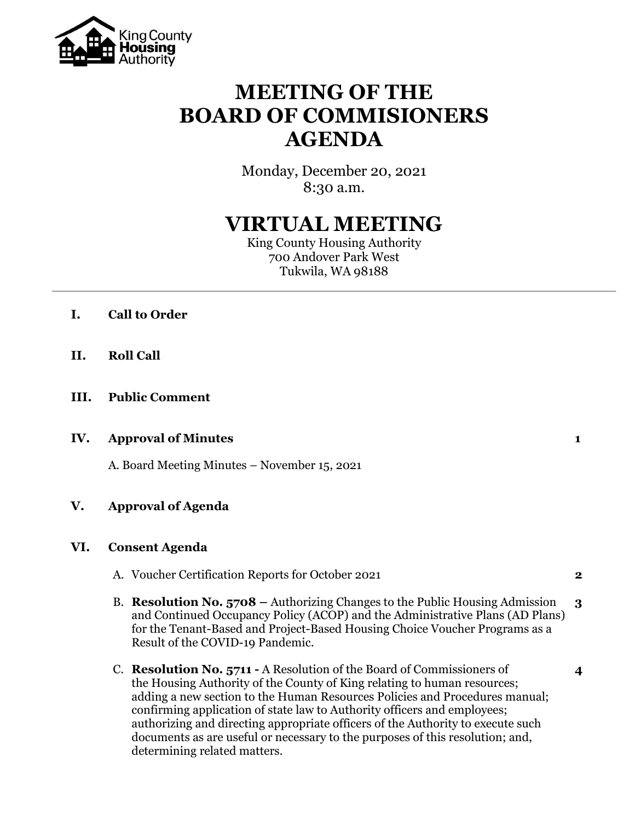

# **MEETING OF THE BOARD OF COMMISIONERS AGENDA**

Monday, December 20, 2021 8:30 a.m.

# **VIRTUAL MEETING**

King County Housing Authority 700 Andover Park West Tukwila, WA 98188

- **I. Call to Order**
- **II. Roll Call**
- **III. Public Comment**

#### **IV. Approval of Minutes 1**

A. Board Meeting Minutes – November 15, 2021

## **V. Approval of Agenda**

#### **VI. Consent Agenda**

- A. Voucher Certification Reports for October 2021 **2**
- B. **Resolution No. 5708 –** Authorizing Changes to the Public Housing Admission **3** and Continued Occupancy Policy (ACOP) and the Administrative Plans (AD Plans) for the Tenant-Based and Project-Based Housing Choice Voucher Programs as a Result of the COVID-19 Pandemic.
- C. **Resolution No. 5711 -** A Resolution of the Board of Commissioners of **4** the Housing Authority of the County of King relating to human resources; adding a new section to the Human Resources Policies and Procedures manual; confirming application of state law to Authority officers and employees; authorizing and directing appropriate officers of the Authority to execute such documents as are useful or necessary to the purposes of this resolution; and, determining related matters.